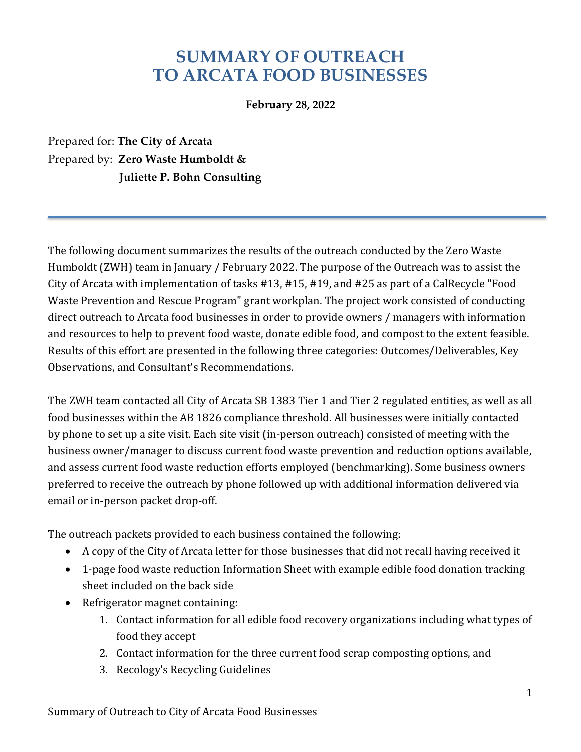# **SUMMARY OF OUTREACH TO ARCATA FOOD BUSINESSES**

**February 28, 2022**

Prepared for: **The City of Arcata** Prepared by: **Zero Waste Humboldt & Juliette P. Bohn Consulting**

The following document summarizes the results of the outreach conducted by the Zero Waste Humboldt (ZWH) team in January / February 2022. The purpose of the Outreach was to assist the City of Arcata with implementation of tasks  $#13, #15, #19,$  and  $#25$  as part of a CalRecycle "Food Waste Prevention and Rescue Program" grant workplan. The project work consisted of conducting direct outreach to Arcata food businesses in order to provide owners / managers with information and resources to help to prevent food waste, donate edible food, and compost to the extent feasible. Results of this effort are presented in the following three categories: Outcomes/Deliverables, Key Observations, and Consultant's Recommendations.

The ZWH team contacted all City of Arcata SB 1383 Tier 1 and Tier 2 regulated entities, as well as all food businesses within the AB 1826 compliance threshold. All businesses were initially contacted by phone to set up a site visit. Each site visit (in-person outreach) consisted of meeting with the business owner/manager to discuss current food waste prevention and reduction options available, and assess current food waste reduction efforts employed (benchmarking). Some business owners preferred to receive the outreach by phone followed up with additional information delivered via email or in-person packet drop-off.

The outreach packets provided to each business contained the following:

- A copy of the City of Arcata letter for those businesses that did not recall having received it
- 1-page food waste reduction Information Sheet with example edible food donation tracking sheet included on the back side
- Refrigerator magnet containing:
	- 1. Contact information for all edible food recovery organizations including what types of food they accept
	- 2. Contact information for the three current food scrap composting options, and
	- 3. Recology's Recycling Guidelines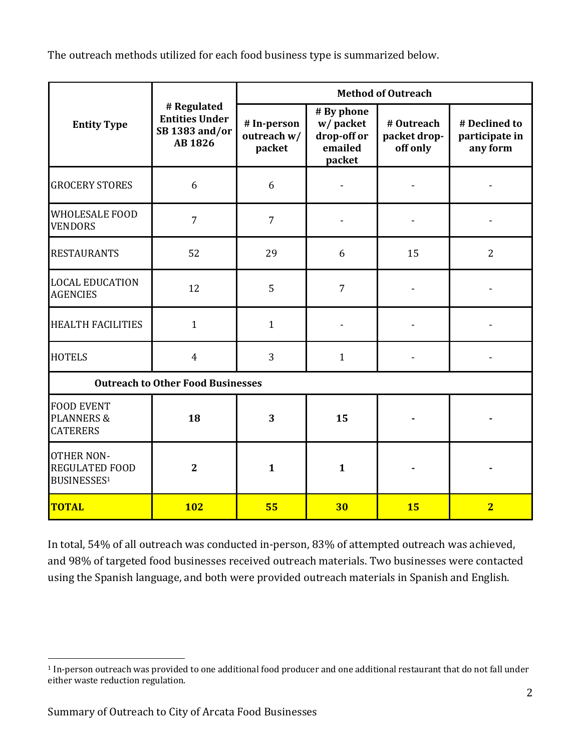The outreach methods utilized for each food business type is summarized below.

| <b>Entity Type</b>                                               | # Regulated<br><b>Entities Under</b><br>SB 1383 and/or<br>AB 1826 | <b>Method of Outreach</b>            |                                                            |                                        |                                             |
|------------------------------------------------------------------|-------------------------------------------------------------------|--------------------------------------|------------------------------------------------------------|----------------------------------------|---------------------------------------------|
|                                                                  |                                                                   | # In-person<br>outreach w/<br>packet | # By phone<br>w/packet<br>drop-off or<br>emailed<br>packet | # Outreach<br>packet drop-<br>off only | # Declined to<br>participate in<br>any form |
| <b>GROCERY STORES</b>                                            | 6                                                                 | 6                                    |                                                            |                                        |                                             |
| <b>WHOLESALE FOOD</b><br><b>VENDORS</b>                          | $\overline{7}$                                                    | $\overline{7}$                       |                                                            |                                        |                                             |
| <b>RESTAURANTS</b>                                               | 52                                                                | 29                                   | 6                                                          | 15                                     | $\overline{2}$                              |
| <b>LOCAL EDUCATION</b><br><b>AGENCIES</b>                        | 12                                                                | 5                                    | $\overline{7}$                                             |                                        |                                             |
| <b>HEALTH FACILITIES</b>                                         | $\mathbf{1}$                                                      | $\mathbf{1}$                         |                                                            |                                        |                                             |
| <b>HOTELS</b>                                                    | $\overline{4}$                                                    | 3                                    | $\mathbf{1}$                                               |                                        |                                             |
| <b>Outreach to Other Food Businesses</b>                         |                                                                   |                                      |                                                            |                                        |                                             |
| <b>FOOD EVENT</b><br><b>PLANNERS &amp;</b><br><b>CATERERS</b>    | 18                                                                | 3                                    | 15                                                         |                                        |                                             |
| <b>OTHER NON-</b><br><b>REGULATED FOOD</b><br><b>BUSINESSES1</b> | $\overline{2}$                                                    | $\mathbf{1}$                         | $\mathbf{1}$                                               |                                        |                                             |
| <b>TOTAL</b>                                                     | <b>102</b>                                                        | 55                                   | 30                                                         | <b>15</b>                              | $\overline{2}$                              |

In total, 54% of all outreach was conducted in-person, 83% of attempted outreach was achieved, and 98% of targeted food businesses received outreach materials. Two businesses were contacted using the Spanish language, and both were provided outreach materials in Spanish and English.

<sup>&</sup>lt;sup>1</sup> In-person outreach was provided to one additional food producer and one additional restaurant that do not fall under either waste reduction regulation.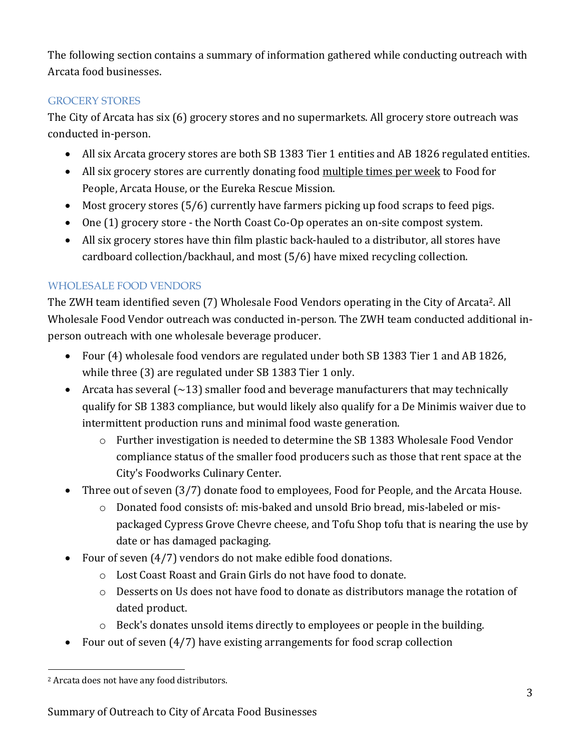The following section contains a summary of information gathered while conducting outreach with Arcata food businesses.

## GROCERY STORES

The City of Arcata has six (6) grocery stores and no supermarkets. All grocery store outreach was conducted in-person.

- All six Arcata grocery stores are both SB 1383 Tier 1 entities and AB 1826 regulated entities.
- All six grocery stores are currently donating food multiple times per week to Food for People, Arcata House, or the Eureka Rescue Mission.
- Most grocery stores  $(5/6)$  currently have farmers picking up food scraps to feed pigs.
- One (1) grocery store the North Coast Co-Op operates an on-site compost system.
- All six grocery stores have thin film plastic back-hauled to a distributor, all stores have cardboard collection/backhaul, and most  $(5/6)$  have mixed recycling collection.

# WHOLESALE FOOD VENDORS

The ZWH team identified seven (7) Wholesale Food Vendors operating in the City of Arcata<sup>2</sup>. All Wholesale Food Vendor outreach was conducted in-person. The ZWH team conducted additional inperson outreach with one wholesale beverage producer.

- Four (4) wholesale food vendors are regulated under both SB 1383 Tier 1 and AB 1826, while three (3) are regulated under SB 1383 Tier 1 only.
- Arcata has several  $\left(\sim 13\right)$  smaller food and beverage manufacturers that may technically qualify for SB 1383 compliance, but would likely also qualify for a De Minimis waiver due to intermittent production runs and minimal food waste generation.
	- $\circ$  Further investigation is needed to determine the SB 1383 Wholesale Food Vendor compliance status of the smaller food producers such as those that rent space at the City's Foodworks Culinary Center.
- Three out of seven (3/7) donate food to employees, Food for People, and the Arcata House.
	- $\circ$  Donated food consists of: mis-baked and unsold Brio bread, mis-labeled or mispackaged Cypress Grove Chevre cheese, and Tofu Shop tofu that is nearing the use by date or has damaged packaging.
- Four of seven  $(4/7)$  vendors do not make edible food donations.
	- o Lost Coast Roast and Grain Girls do not have food to donate.
	- $\circ$  Desserts on Us does not have food to donate as distributors manage the rotation of dated product.
	- $\circ$  Beck's donates unsold items directly to employees or people in the building.
- Four out of seven  $(4/7)$  have existing arrangements for food scrap collection

<sup>&</sup>lt;sup>2</sup> Arcata does not have any food distributors.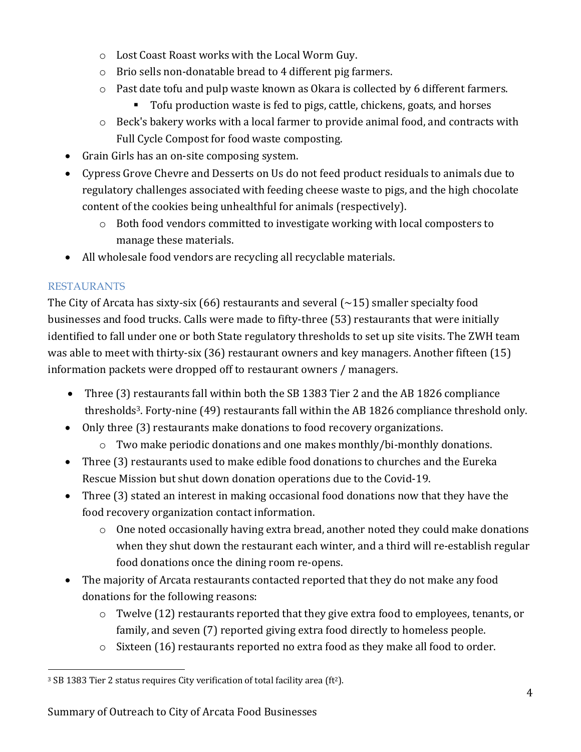- o Lost Coast Roast works with the Local Worm Guy.
- $\circ$  Brio sells non-donatable bread to 4 different pig farmers.
- $\circ$  Past date tofu and pulp waste known as Okara is collected by 6 different farmers.
	- Tofu production waste is fed to pigs, cattle, chickens, goats, and horses
- $\circ$  Beck's bakery works with a local farmer to provide animal food, and contracts with Full Cycle Compost for food waste composting.
- Grain Girls has an on-site composing system.
- Cypress Grove Chevre and Desserts on Us do not feed product residuals to animals due to regulatory challenges associated with feeding cheese waste to pigs, and the high chocolate content of the cookies being unhealthful for animals (respectively).
	- o Both food vendors committed to investigate working with local composters to manage these materials.
- All wholesale food vendors are recycling all recyclable materials.

# RESTAURANTS

The City of Arcata has sixty-six  $(66)$  restaurants and several  $(-15)$  smaller specialty food businesses and food trucks. Calls were made to fifty-three (53) restaurants that were initially identified to fall under one or both State regulatory thresholds to set up site visits. The ZWH team was able to meet with thirty-six  $(36)$  restaurant owners and key managers. Another fifteen  $(15)$ information packets were dropped off to restaurant owners / managers.

- Three (3) restaurants fall within both the SB 1383 Tier 2 and the AB 1826 compliance thresholds<sup>3</sup>. Forty-nine  $(49)$  restaurants fall within the AB 1826 compliance threshold only.
- Only three (3) restaurants make donations to food recovery organizations.
	- $\circ$  Two make periodic donations and one makes monthly/bi-monthly donations.
- Three (3) restaurants used to make edible food donations to churches and the Eureka Rescue Mission but shut down donation operations due to the Covid-19.
- Three (3) stated an interest in making occasional food donations now that they have the food recovery organization contact information.
	- $\circ$  One noted occasionally having extra bread, another noted they could make donations when they shut down the restaurant each winter, and a third will re-establish regular food donations once the dining room re-opens.
- The majority of Arcata restaurants contacted reported that they do not make any food donations for the following reasons:
	- $\circ$  Twelve (12) restaurants reported that they give extra food to employees, tenants, or family, and seven (7) reported giving extra food directly to homeless people.
	- $\circ$  Sixteen (16) restaurants reported no extra food as they make all food to order.

<sup>&</sup>lt;sup>3</sup> SB 1383 Tier 2 status requires City verification of total facility area (ft<sup>2</sup>).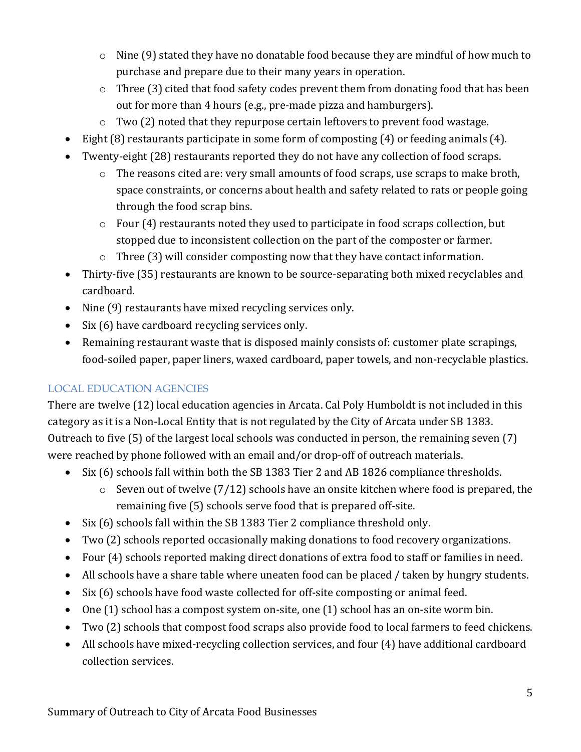- $\circ$  Nine (9) stated they have no donatable food because they are mindful of how much to purchase and prepare due to their many years in operation.
- $\circ$  Three (3) cited that food safety codes prevent them from donating food that has been out for more than 4 hours (e.g., pre-made pizza and hamburgers).
- $\circ$  Two (2) noted that they repurpose certain leftovers to prevent food wastage.
- Eight  $(8)$  restaurants participate in some form of composting  $(4)$  or feeding animals  $(4)$ .
- Twenty-eight (28) restaurants reported they do not have any collection of food scraps.
	- $\circ$  The reasons cited are: very small amounts of food scraps, use scraps to make broth, space constraints, or concerns about health and safety related to rats or people going through the food scrap bins.
	- $\circ$  Four (4) restaurants noted they used to participate in food scraps collection, but stopped due to inconsistent collection on the part of the composter or farmer.
	- $\circ$  Three (3) will consider composting now that they have contact information.
- Thirty-five (35) restaurants are known to be source-separating both mixed recyclables and cardboard.
- Nine (9) restaurants have mixed recycling services only.
- Six  $(6)$  have cardboard recycling services only.
- Remaining restaurant waste that is disposed mainly consists of: customer plate scrapings, food-soiled paper, paper liners, waxed cardboard, paper towels, and non-recyclable plastics.

# LOCAL EDUCATION AGENCIES

There are twelve (12) local education agencies in Arcata. Cal Poly Humboldt is not included in this category as it is a Non-Local Entity that is not regulated by the City of Arcata under SB 1383. Outreach to five  $(5)$  of the largest local schools was conducted in person, the remaining seven  $(7)$ were reached by phone followed with an email and/or drop-off of outreach materials.

- Six (6) schools fall within both the SB 1383 Tier 2 and AB 1826 compliance thresholds.
	- $\circ$  Seven out of twelve (7/12) schools have an onsite kitchen where food is prepared, the remaining five (5) schools serve food that is prepared off-site.
- Six  $(6)$  schools fall within the SB 1383 Tier 2 compliance threshold only.
- Two (2) schools reported occasionally making donations to food recovery organizations.
- Four (4) schools reported making direct donations of extra food to staff or families in need.
- All schools have a share table where uneaten food can be placed / taken by hungry students.
- Six (6) schools have food waste collected for off-site composting or animal feed.
- One  $(1)$  school has a compost system on-site, one  $(1)$  school has an on-site worm bin.
- Two (2) schools that compost food scraps also provide food to local farmers to feed chickens.
- All schools have mixed-recycling collection services, and four (4) have additional cardboard collection services.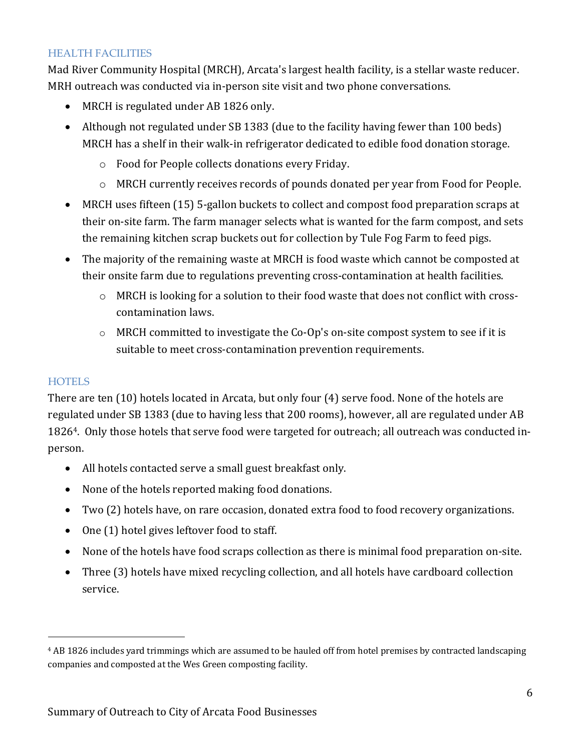#### HEALTH FACILITIES

Mad River Community Hospital (MRCH), Arcata's largest health facility, is a stellar waste reducer. MRH outreach was conducted via in-person site visit and two phone conversations.

- MRCH is regulated under AB 1826 only.
- Although not regulated under SB 1383 (due to the facility having fewer than 100 beds) MRCH has a shelf in their walk-in refrigerator dedicated to edible food donation storage.
	- $\circ$  Food for People collects donations every Friday.
	- o MRCH currently receives records of pounds donated per year from Food for People.
- MRCH uses fifteen (15) 5-gallon buckets to collect and compost food preparation scraps at their on-site farm. The farm manager selects what is wanted for the farm compost, and sets the remaining kitchen scrap buckets out for collection by Tule Fog Farm to feed pigs.
- The majority of the remaining waste at MRCH is food waste which cannot be composted at their onsite farm due to regulations preventing cross-contamination at health facilities.
	- $\circ$  MRCH is looking for a solution to their food waste that does not conflict with crosscontamination laws.
	- $\circ$  MRCH committed to investigate the Co-Op's on-site compost system to see if it is suitable to meet cross-contamination prevention requirements.

#### **HOTELS**

There are ten (10) hotels located in Arcata, but only four (4) serve food. None of the hotels are regulated under SB 1383 (due to having less that 200 rooms), however, all are regulated under AB 1826<sup>4</sup>. Only those hotels that serve food were targeted for outreach; all outreach was conducted inperson.

- All hotels contacted serve a small guest breakfast only.
- None of the hotels reported making food donations.
- Two (2) hotels have, on rare occasion, donated extra food to food recovery organizations.
- $\bullet$  One (1) hotel gives leftover food to staff.
- None of the hotels have food scraps collection as there is minimal food preparation on-site.
- Three (3) hotels have mixed recycling collection, and all hotels have cardboard collection service.

<sup>&</sup>lt;sup>4</sup> AB 1826 includes yard trimmings which are assumed to be hauled off from hotel premises by contracted landscaping companies and composted at the Wes Green composting facility.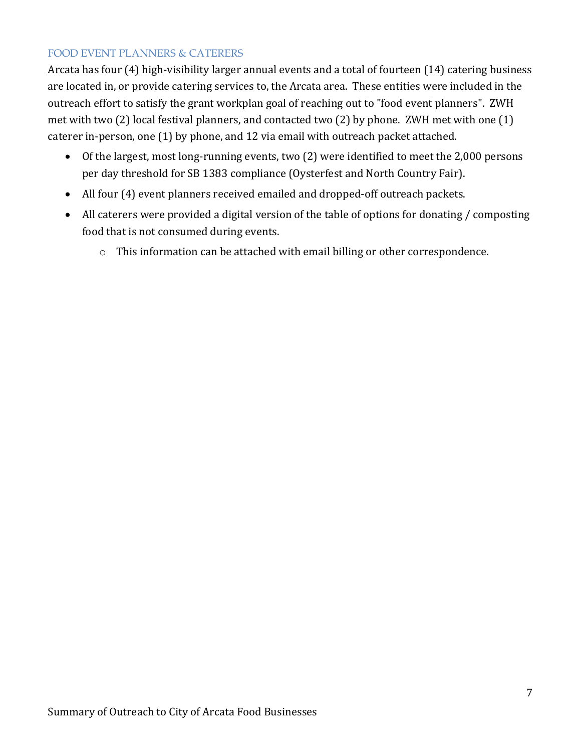### FOOD EVENT PLANNERS & CATERERS

Arcata has four (4) high-visibility larger annual events and a total of fourteen (14) catering business are located in, or provide catering services to, the Arcata area. These entities were included in the outreach effort to satisfy the grant workplan goal of reaching out to "food event planners". ZWH met with two  $(2)$  local festival planners, and contacted two  $(2)$  by phone. ZWH met with one  $(1)$ caterer in-person, one  $(1)$  by phone, and  $12$  via email with outreach packet attached.

- Of the largest, most long-running events, two (2) were identified to meet the 2,000 persons per day threshold for SB 1383 compliance (Oysterfest and North Country Fair).
- All four (4) event planners received emailed and dropped-off outreach packets.
- All caterers were provided a digital version of the table of options for donating / composting food that is not consumed during events.
	- $\circ$  This information can be attached with email billing or other correspondence.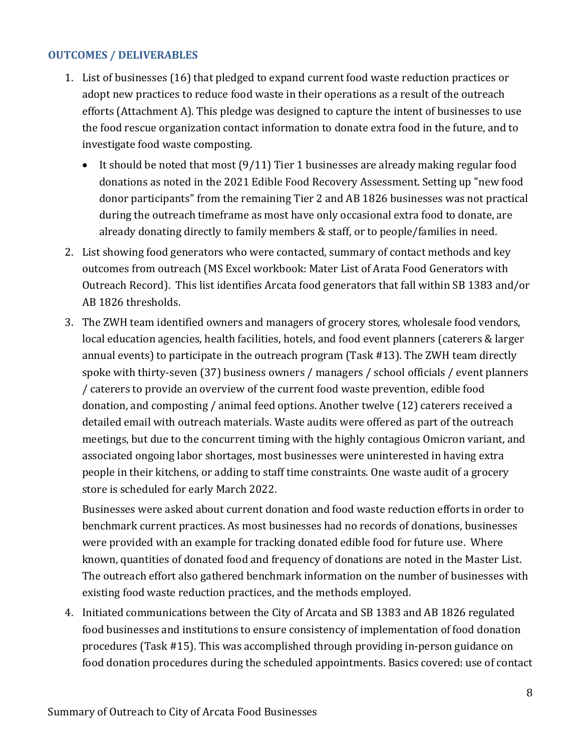#### **OUTCOMES / DELIVERABLES**

- 1. List of businesses (16) that pledged to expand current food waste reduction practices or adopt new practices to reduce food waste in their operations as a result of the outreach efforts (Attachment A). This pledge was designed to capture the intent of businesses to use the food rescue organization contact information to donate extra food in the future, and to investigate food waste composting.
	- It should be noted that most  $(9/11)$  Tier 1 businesses are already making regular food donations as noted in the 2021 Edible Food Recovery Assessment. Setting up "new food donor participants" from the remaining Tier 2 and AB 1826 businesses was not practical during the outreach timeframe as most have only occasional extra food to donate, are already donating directly to family members & staff, or to people/families in need.
- 2. List showing food generators who were contacted, summary of contact methods and key outcomes from outreach (MS Excel workbook: Mater List of Arata Food Generators with Outreach Record). This list identifies Arcata food generators that fall within SB 1383 and/or AB 1826 thresholds.
- 3. The ZWH team identified owners and managers of grocery stores, wholesale food vendors, local education agencies, health facilities, hotels, and food event planners (caterers & larger annual events) to participate in the outreach program (Task #13). The ZWH team directly spoke with thirty-seven (37) business owners / managers / school officials / event planners / caterers to provide an overview of the current food waste prevention, edible food donation, and composting / animal feed options. Another twelve (12) caterers received a detailed email with outreach materials. Waste audits were offered as part of the outreach meetings, but due to the concurrent timing with the highly contagious Omicron variant, and associated ongoing labor shortages, most businesses were uninterested in having extra people in their kitchens, or adding to staff time constraints. One waste audit of a grocery store is scheduled for early March 2022.

Businesses were asked about current donation and food waste reduction efforts in order to benchmark current practices. As most businesses had no records of donations, businesses were provided with an example for tracking donated edible food for future use. Where known, quantities of donated food and frequency of donations are noted in the Master List. The outreach effort also gathered benchmark information on the number of businesses with existing food waste reduction practices, and the methods employed.

4. Initiated communications between the City of Arcata and SB 1383 and AB 1826 regulated food businesses and institutions to ensure consistency of implementation of food donation procedures (Task #15). This was accomplished through providing in-person guidance on food donation procedures during the scheduled appointments. Basics covered: use of contact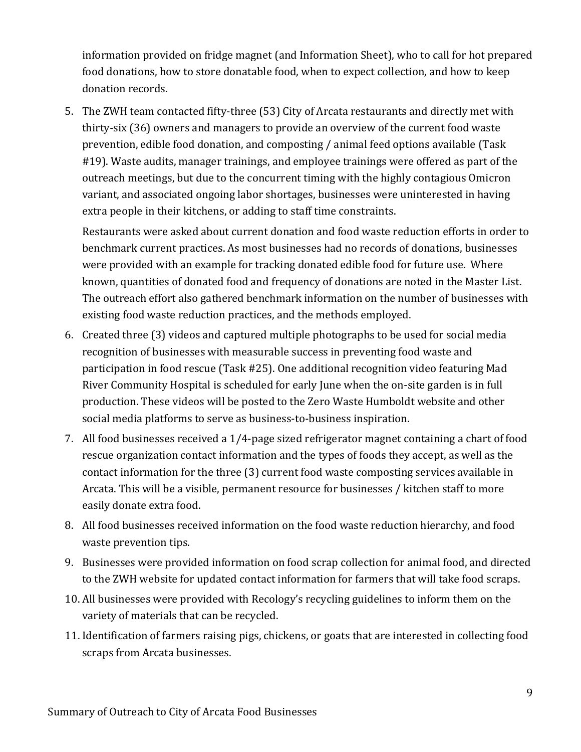information provided on fridge magnet (and Information Sheet), who to call for hot prepared food donations, how to store donatable food, when to expect collection, and how to keep donation records.

5. The ZWH team contacted fifty-three (53) City of Arcata restaurants and directly met with thirty-six (36) owners and managers to provide an overview of the current food waste prevention, edible food donation, and composting / animal feed options available (Task #19). Waste audits, manager trainings, and employee trainings were offered as part of the outreach meetings, but due to the concurrent timing with the highly contagious Omicron variant, and associated ongoing labor shortages, businesses were uninterested in having extra people in their kitchens, or adding to staff time constraints.

Restaurants were asked about current donation and food waste reduction efforts in order to benchmark current practices. As most businesses had no records of donations, businesses were provided with an example for tracking donated edible food for future use. Where known, quantities of donated food and frequency of donations are noted in the Master List. The outreach effort also gathered benchmark information on the number of businesses with existing food waste reduction practices, and the methods employed.

- 6. Created three (3) videos and captured multiple photographs to be used for social media recognition of businesses with measurable success in preventing food waste and participation in food rescue (Task #25). One additional recognition video featuring Mad River Community Hospital is scheduled for early June when the on-site garden is in full production. These videos will be posted to the Zero Waste Humboldt website and other social media platforms to serve as business-to-business inspiration.
- 7. All food businesses received a 1/4-page sized refrigerator magnet containing a chart of food rescue organization contact information and the types of foods they accept, as well as the contact information for the three (3) current food waste composting services available in Arcata. This will be a visible, permanent resource for businesses / kitchen staff to more easily donate extra food.
- 8. All food businesses received information on the food waste reduction hierarchy, and food waste prevention tips.
- 9. Businesses were provided information on food scrap collection for animal food, and directed to the ZWH website for updated contact information for farmers that will take food scraps.
- 10. All businesses were provided with Recology's recycling guidelines to inform them on the variety of materials that can be recycled.
- 11. Identification of farmers raising pigs, chickens, or goats that are interested in collecting food scraps from Arcata businesses.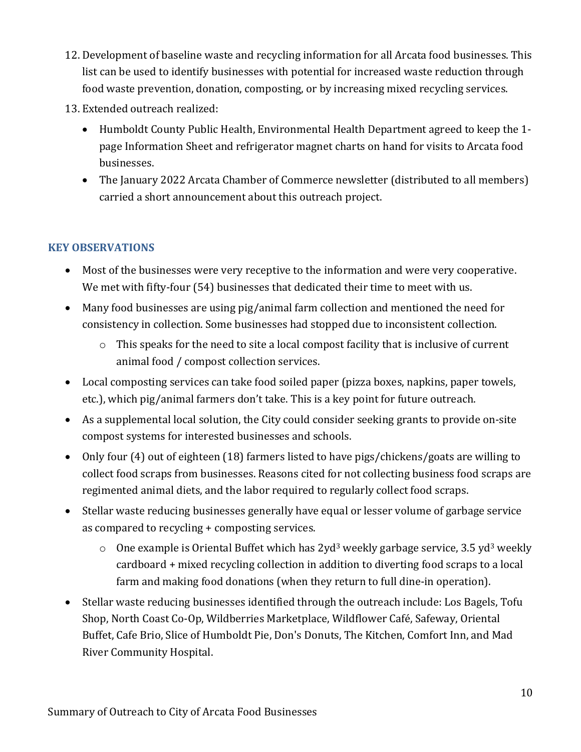- 12. Development of baseline waste and recycling information for all Arcata food businesses. This list can be used to identify businesses with potential for increased waste reduction through food waste prevention, donation, composting, or by increasing mixed recycling services.
- 13. Extended outreach realized:
	- Humboldt County Public Health, Environmental Health Department agreed to keep the 1page Information Sheet and refrigerator magnet charts on hand for visits to Arcata food businesses.
	- The January 2022 Arcata Chamber of Commerce newsletter (distributed to all members) carried a short announcement about this outreach project.

## **KEY OBSERVATIONS**

- Most of the businesses were very receptive to the information and were very cooperative. We met with fifty-four (54) businesses that dedicated their time to meet with us.
- Many food businesses are using pig/animal farm collection and mentioned the need for consistency in collection. Some businesses had stopped due to inconsistent collection.
	- $\circ$  This speaks for the need to site a local compost facility that is inclusive of current animal food / compost collection services.
- Local composting services can take food soiled paper (pizza boxes, napkins, paper towels, etc.), which pig/animal farmers don't take. This is a key point for future outreach.
- As a supplemental local solution, the City could consider seeking grants to provide on-site compost systems for interested businesses and schools.
- Only four (4) out of eighteen (18) farmers listed to have pigs/chickens/goats are willing to collect food scraps from businesses. Reasons cited for not collecting business food scraps are regimented animal diets, and the labor required to regularly collect food scraps.
- Stellar waste reducing businesses generally have equal or lesser volume of garbage service as compared to recycling + composting services.
	- $\circ$  One example is Oriental Buffet which has 2yd<sup>3</sup> weekly garbage service, 3.5 yd<sup>3</sup> weekly  $cardboard + mixed$  recycling collection in addition to diverting food scraps to a local farm and making food donations (when they return to full dine-in operation).
- Stellar waste reducing businesses identified through the outreach include: Los Bagels, Tofu Shop, North Coast Co-Op, Wildberries Marketplace, Wildflower Café, Safeway, Oriental Buffet, Cafe Brio, Slice of Humboldt Pie, Don's Donuts, The Kitchen, Comfort Inn, and Mad River Community Hospital.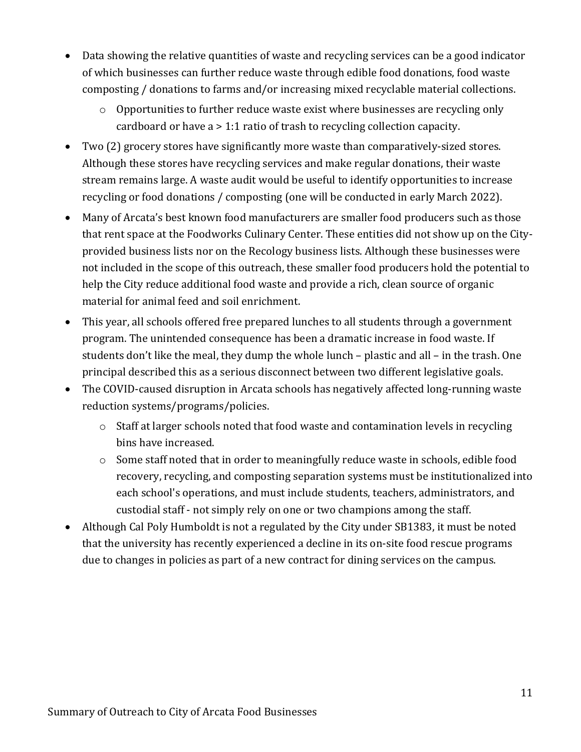- Data showing the relative quantities of waste and recycling services can be a good indicator of which businesses can further reduce waste through edible food donations, food waste composting / donations to farms and/or increasing mixed recyclable material collections.
	- $\circ$  Opportunities to further reduce waste exist where businesses are recycling only cardboard or have  $a > 1:1$  ratio of trash to recycling collection capacity.
- Two (2) grocery stores have significantly more waste than comparatively-sized stores. Although these stores have recycling services and make regular donations, their waste stream remains large. A waste audit would be useful to identify opportunities to increase recycling or food donations / composting (one will be conducted in early March 2022).
- Many of Arcata's best known food manufacturers are smaller food producers such as those that rent space at the Foodworks Culinary Center. These entities did not show up on the Cityprovided business lists nor on the Recology business lists. Although these businesses were not included in the scope of this outreach, these smaller food producers hold the potential to help the City reduce additional food waste and provide a rich, clean source of organic material for animal feed and soil enrichment.
- This year, all schools offered free prepared lunches to all students through a government program. The unintended consequence has been a dramatic increase in food waste. If students don't like the meal, they dump the whole lunch – plastic and all – in the trash. One principal described this as a serious disconnect between two different legislative goals.
- The COVID-caused disruption in Arcata schools has negatively affected long-running waste reduction systems/programs/policies.
	- $\circ$  Staff at larger schools noted that food waste and contamination levels in recycling bins have increased.
	- o Some staff noted that in order to meaningfully reduce waste in schools, edible food recovery, recycling, and composting separation systems must be institutionalized into each school's operations, and must include students, teachers, administrators, and custodial staff - not simply rely on one or two champions among the staff.
- Although Cal Poly Humboldt is not a regulated by the City under SB1383, it must be noted that the university has recently experienced a decline in its on-site food rescue programs due to changes in policies as part of a new contract for dining services on the campus.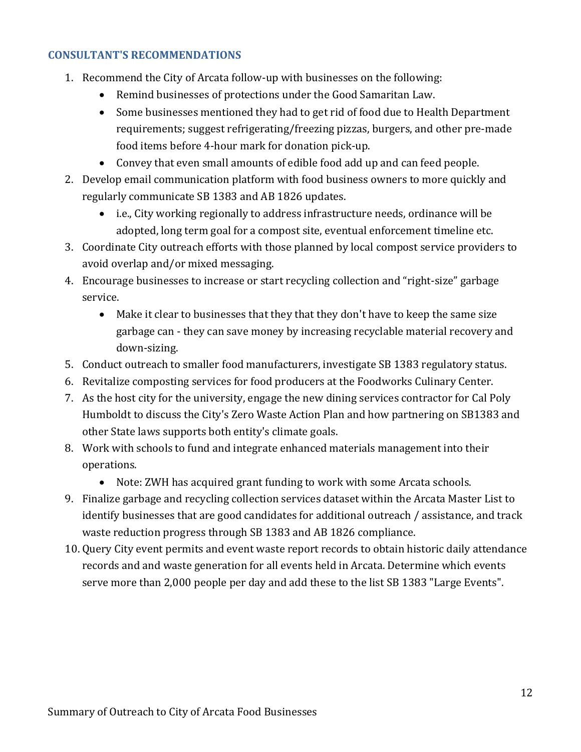#### **CONSULTANT'S RECOMMENDATIONS**

- 1. Recommend the City of Arcata follow-up with businesses on the following:
	- Remind businesses of protections under the Good Samaritan Law.
	- Some businesses mentioned they had to get rid of food due to Health Department requirements; suggest refrigerating/freezing pizzas, burgers, and other pre-made food items before 4-hour mark for donation pick-up.
	- Convey that even small amounts of edible food add up and can feed people.
- 2. Develop email communication platform with food business owners to more quickly and regularly communicate SB 1383 and AB 1826 updates.
	- i.e., City working regionally to address infrastructure needs, ordinance will be adopted, long term goal for a compost site, eventual enforcement timeline etc.
- 3. Coordinate City outreach efforts with those planned by local compost service providers to avoid overlap and/or mixed messaging.
- 4. Encourage businesses to increase or start recycling collection and "right-size" garbage service.
	- Make it clear to businesses that they that they don't have to keep the same size garbage can - they can save money by increasing recyclable material recovery and down-sizing.
- 5. Conduct outreach to smaller food manufacturers, investigate SB 1383 regulatory status.
- 6. Revitalize composting services for food producers at the Foodworks Culinary Center.
- 7. As the host city for the university, engage the new dining services contractor for Cal Poly Humboldt to discuss the City's Zero Waste Action Plan and how partnering on SB1383 and other State laws supports both entity's climate goals.
- 8. Work with schools to fund and integrate enhanced materials management into their operations.
	- Note: ZWH has acquired grant funding to work with some Arcata schools.
- 9. Finalize garbage and recycling collection services dataset within the Arcata Master List to identify businesses that are good candidates for additional outreach / assistance, and track waste reduction progress through SB 1383 and AB 1826 compliance.
- 10. Query City event permits and event waste report records to obtain historic daily attendance records and and waste generation for all events held in Arcata. Determine which events serve more than 2,000 people per day and add these to the list SB 1383 "Large Events".